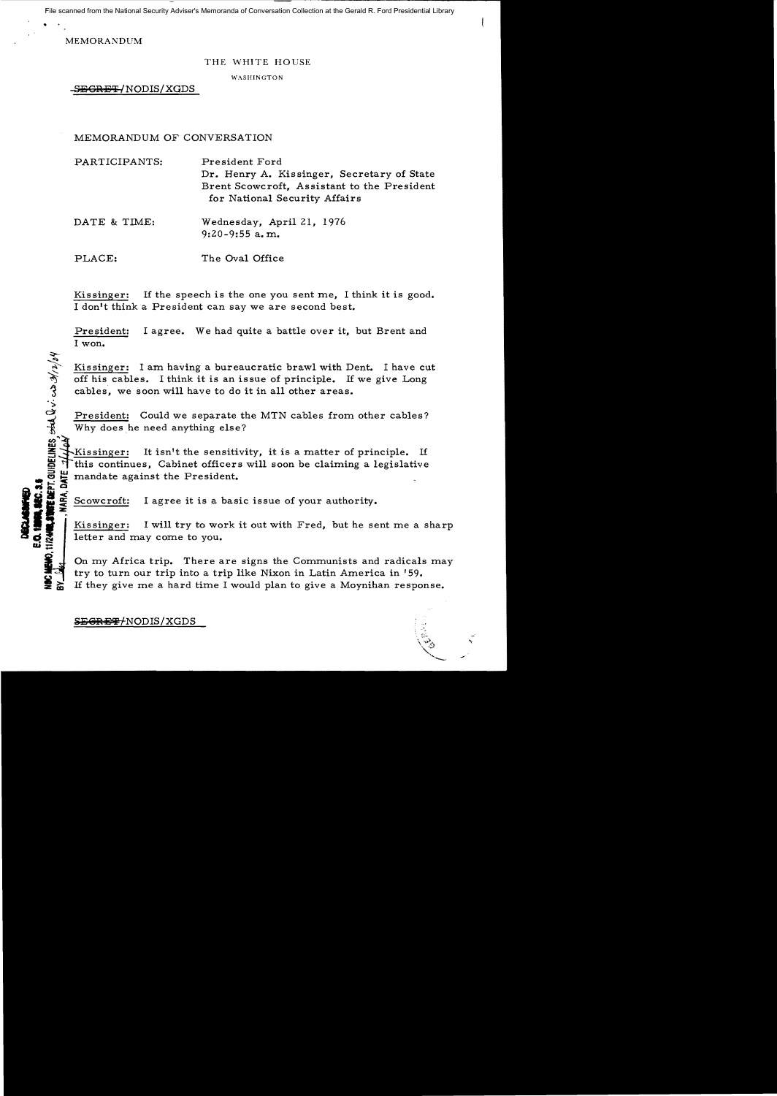File scanned from the National Security Adviser's Memoranda of Conversation Collection at the Gerald R. Ford Presidential Library

MEMORANDUM

 $\sum_{i=1}^{\infty}$ 

 $\dot{\mathbf{z}}$  :

~

## THE WHITE HOUSE

WASHINGTON

-S<del>EGRET/</del>NODIS/XGDS

## MEMORANDUM OF CONVERSATION

PARTICIPANTS: President Ford Dr. Henry A. Kissinger, Secretary of State Brent Scowcroft, As sistant to the President for National Security Affairs DATE & TIME: Wednesday, April 21, 1976

9:20-9:55 a. m.

PLACE: The Oval Office

Kissinger: If the speech is the one you sent me, I think it is good. I don't think a President can say we are second best.

President: I agree. We had quite a battle over it, but Brent and I won.

Kissinger: I am having a bureaucratic brawl with Dent. I have cut off his cables. I think it is an issue of principle. If we give Long cables, we soon will have to do it in all other areas.

President: Could we separate the MTN cables from other cables? Why does he need anything else?

Kissinger: It isn't the sensitivity, it is a matter of principle. If This continues, Cabinet officers will soon be claiming a legislative<br>
mandate against the President.<br>
Solution of the Scowcroft: I agree it is a basic issue of your authority. mandate against the President.

Scowcroft: I agree it is a basic issue of your authority.

How is a sharp in Twill try to work it out with Fred, but he sent me a sharp letter and may come to you. letter and may come to you.

On my Africa trip. There are signs the Communists and radicals may  $\sum_{n=1}^{\infty}$  On my Africa trip. There are signs the Communists and radicals<br>into turn our trip into a trip like Nixon in Latin America in '59. If they give me a hard time I would plan to give a Moynihan response.

SEGRET/NODIS/XGDS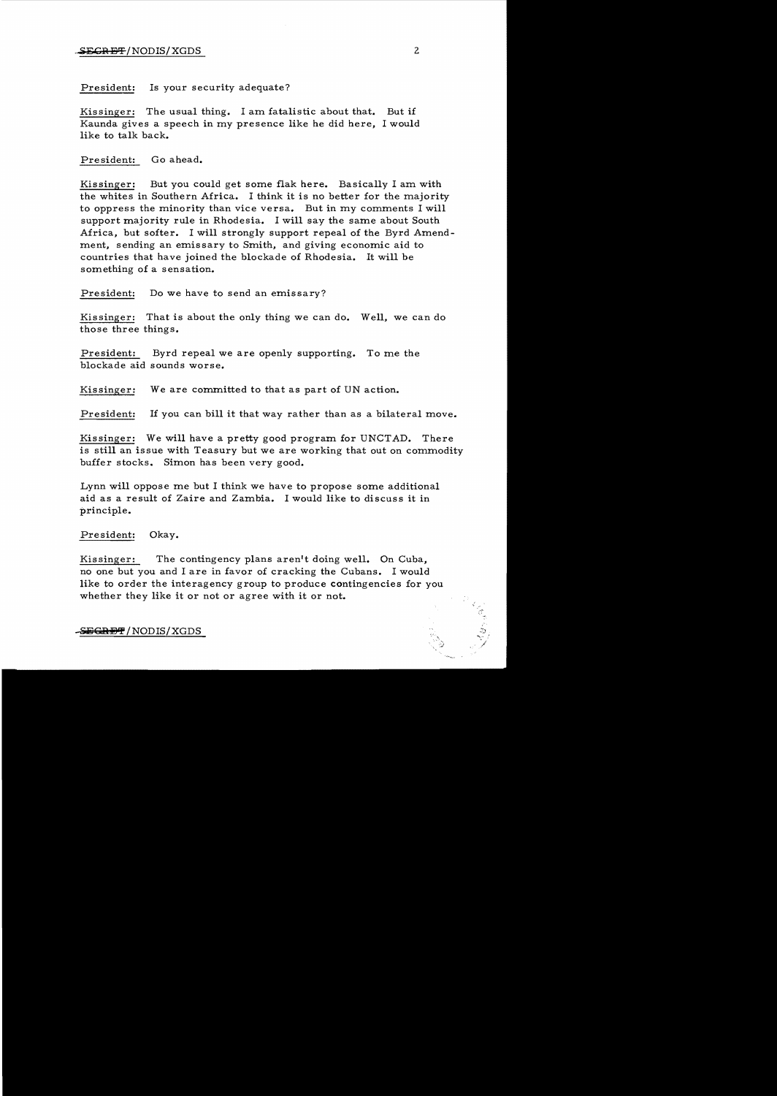President: Is your security adequate?

Kissinger: The usual thing. I am fatalistic about that. But if Kaunda gives a speech in my presence like he did here, I would like to talk back.

President: Go ahead.

Kissinger: But you could get some flak here. Basically I am with the whites in Southern Africa. I think it is no better for the majority to oppress the minority than vice versa. But in my comments I will support majority rule in Rhodesia. I will say the same about South Africa, but softer. I will strongly support repeal of the Byrd Amendment, sending an emissary to Smith, and giving economic aid to countries that have joined the blockade of Rhodesia. It will be something of a sensation.

President: Do we have to send an emissary?

Kissinger: That is about the only thing we can do. Well, we can do those three things.

President: Byrd repeal we are openly supporting. To me the blockade aid sounds worse.

Kissinger: We are committed to that as part of UN action.

President: If you can bill it that way rather than as a bilateral move.

Kissinger: We will have a pretty good program for UNCTAD. There is still an issue with Teasury but we are working that out on commodity buffer stocks. Simon has been very good.

Lynn will oppose me but I think we have to propose some additional aid as a result of Zaire and Zambia. I would like to discuss it in principle.

President: Okay.

Kissinger: The contingency plans aren't doing well. On Cuba, no one but you and I are in favor of cracking the Cubans. I would like to order the interagency group to produce contingencies for you whether they like it or not or agree with it or not.

-S<del>ECRET</del> / NODIS/XGDS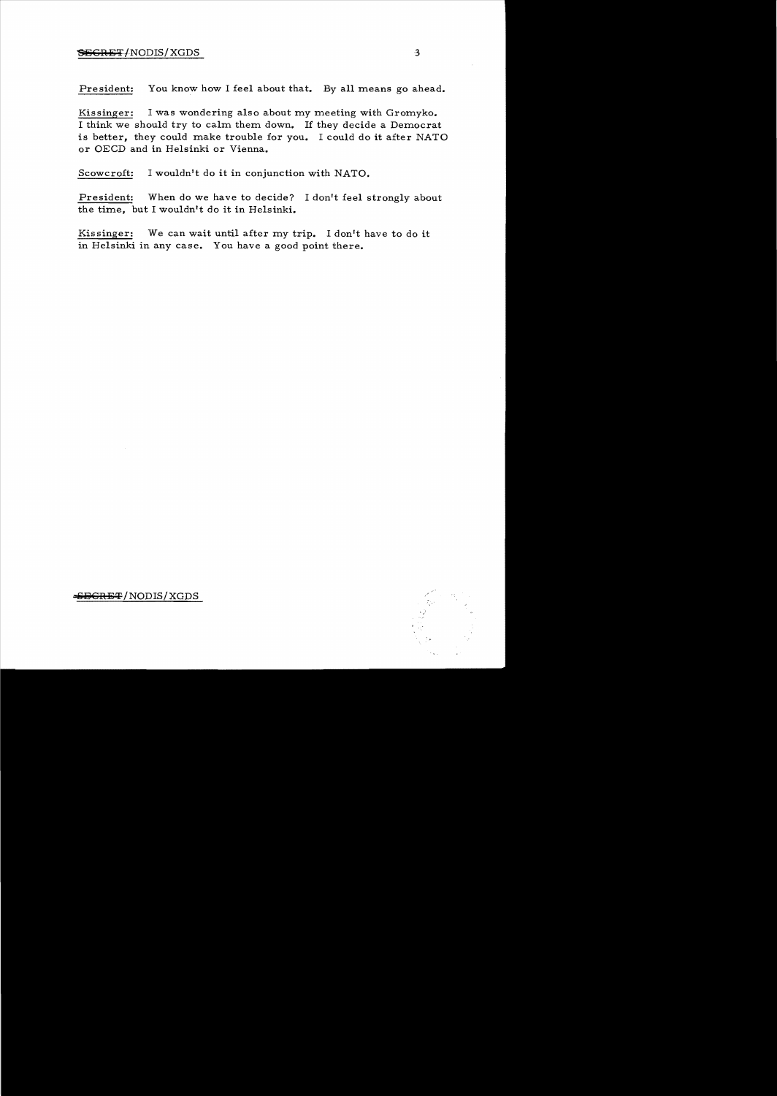## $S\rightarrow$ SEGRET/NODIS/XGDS 3

President: You know how I feel about that. By all means go ahead.

Kissinger: I was wondering also about my meeting with Gromyko. I think we should try to calm them down. 1£ they decide a Democrat is better, they could make trouble for you. I could do it after NATO or OECD and in Helsinki or Vienna.

Scowcroft: I wouldn't do it in conjunction with NATO.

President: When do we have to decide? I don't feel strongly about the time, but I wouldn't do it in Helsinki.

Kissinger: We can wait until after my trip. I don't have to do it in Helsinki in any case. You have a good point there.

<del>ICRET</del>/NODIS/XGDS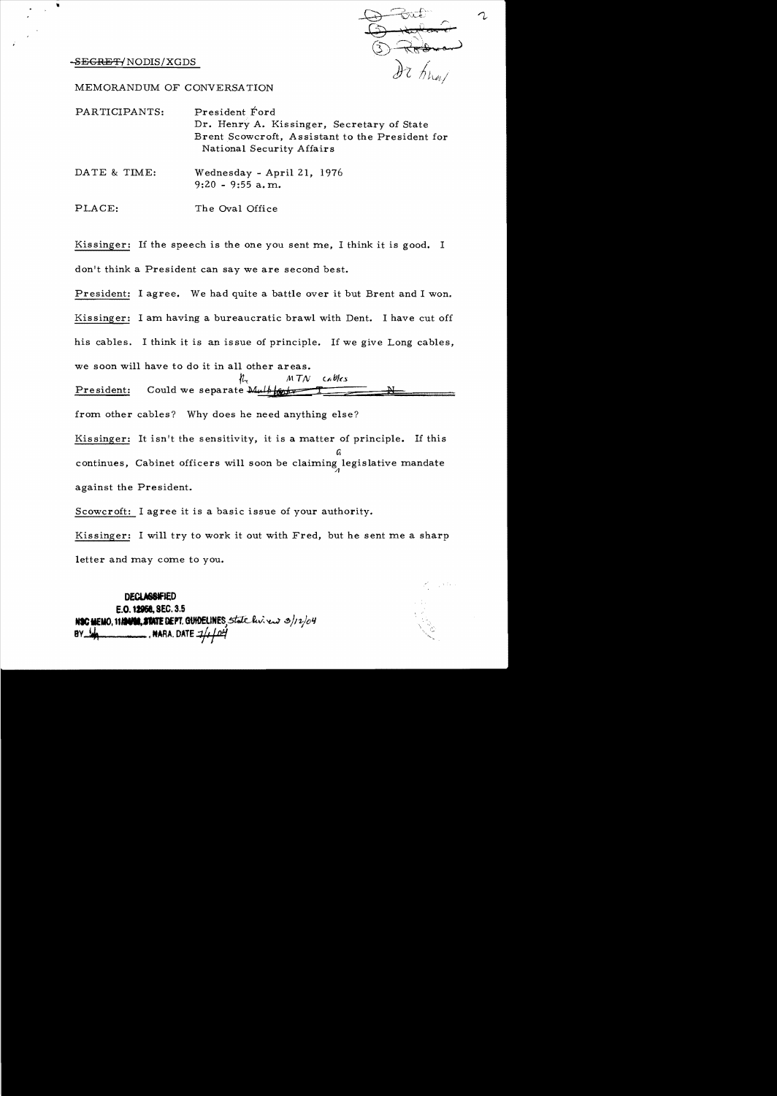-S<del>EGRET</del>/NODIS/XGDS

MEMORANDUM OF CONVERSA TION

| PARTICIPANTS: | President Ford<br>Dr. Henry A. Kissinger, Secretary of State<br>Brent Scowcroft, Assistant to the President for<br>National Security Affairs |
|---------------|----------------------------------------------------------------------------------------------------------------------------------------------|
| DATE & TIME:  | Wednesday - April 21, 1976<br>$9:20 - 9:55$ a, m.                                                                                            |

PLACE: The Oval Office

Kissinger: If the speech is the one you sent me, I think it is good. I don't think a President can say we are second best.

President: I agree. We had quite a battle over it but Brent and I won. Kissinger: I am having a bureaucratic brawl with Dent. I have cut off his cables. I think it is an issue of principle. If we give Long cables, we soon will have to do it in all other areas.  $MTN$  $ch$   $0$ les

President: Could we separate  $\overline{\mathbf{M}\mu l}$ 

from other cables? Why does he need anything else?

Kissinger: It isn't the sensitivity, it is a matter of principle. If this t. continues, Cabinet officers will soon be claiming legislative mandate against the President.

Scowcroft: I agree it is a basic issue of your authority.

Kissinger: I will try to work it out with Fred, but he sent me a sharp letter and may come to you.

DECLASSIFIED E.O. 12958, SEC. 3.5 N**SC MEMO. 11.124100. STATE DEPT. GUIDELINES**, State livinew 3/12/04 **wara. Date**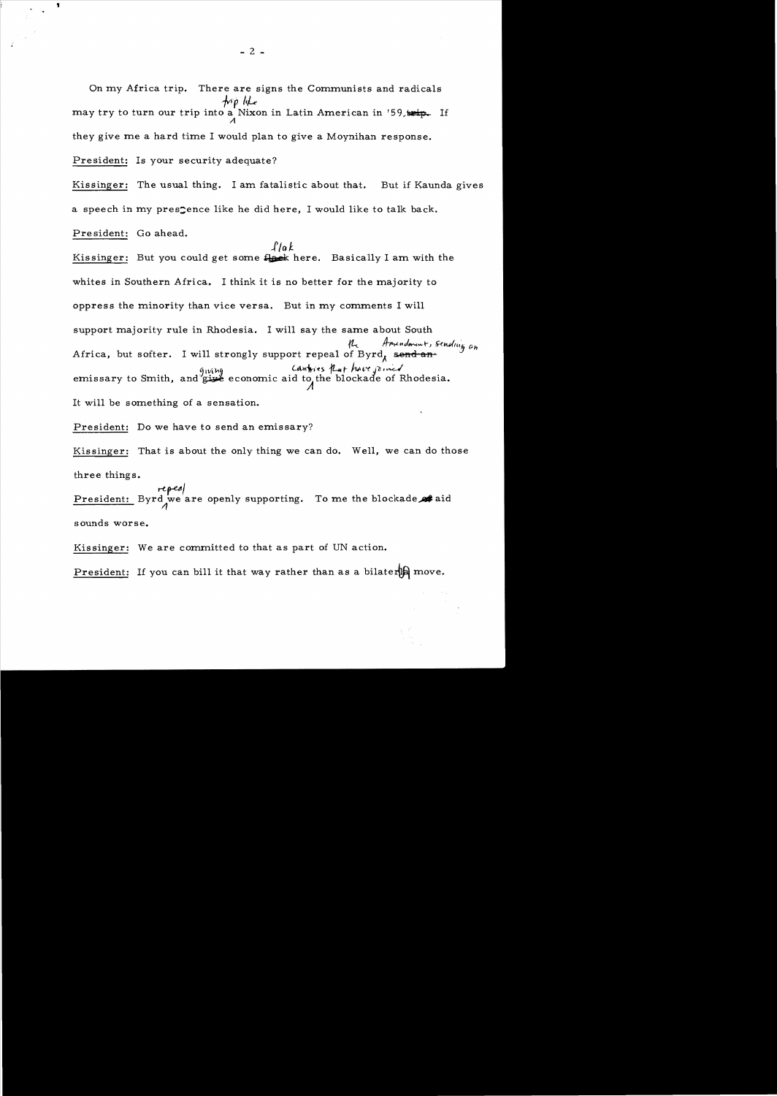On my Africa trip. There are signs the Communists and radicals trp like may try to turn our trip into a Nixon in Latin American in '59,  $\boldsymbol{\Lambda}$ they give me a hard time I would plan to give a Moynihan response.

President: Is your security adequate?

Kissinger: The usual thing. I am fatalistic about that. But if Kaunda gives a speech in my presence like he did here, I would like to talk back. Pre sident: Go ahead.

 $1/a k$ Kissinger: But you could get some flack here. Basically I am with the whites in Southern Africa. I think it is no better for the majority to oppress the minority than vice versa. But in my comments I will support majority rule in Rhodesia. I will say the same about South Amendmunt, sending an Africa, but softer. I will strongly support repeal of Byrd, send-an-914thy Cantries *Lat have joined*<br>economic aid to the blockade of Rhodesia. It will be something of a sensation.

President: Do we have to send an emissary?

Kissinger: That is about the only thing we can do. Well, we can do those three things.

repeal President: Byrd we are openly supporting. To me the blockade at aid -1 sounds worse.

Kissinger: We are committed to that as part of UN action.

President: If you can bill it that way rather than as a bilater IA move.

 $-2 -$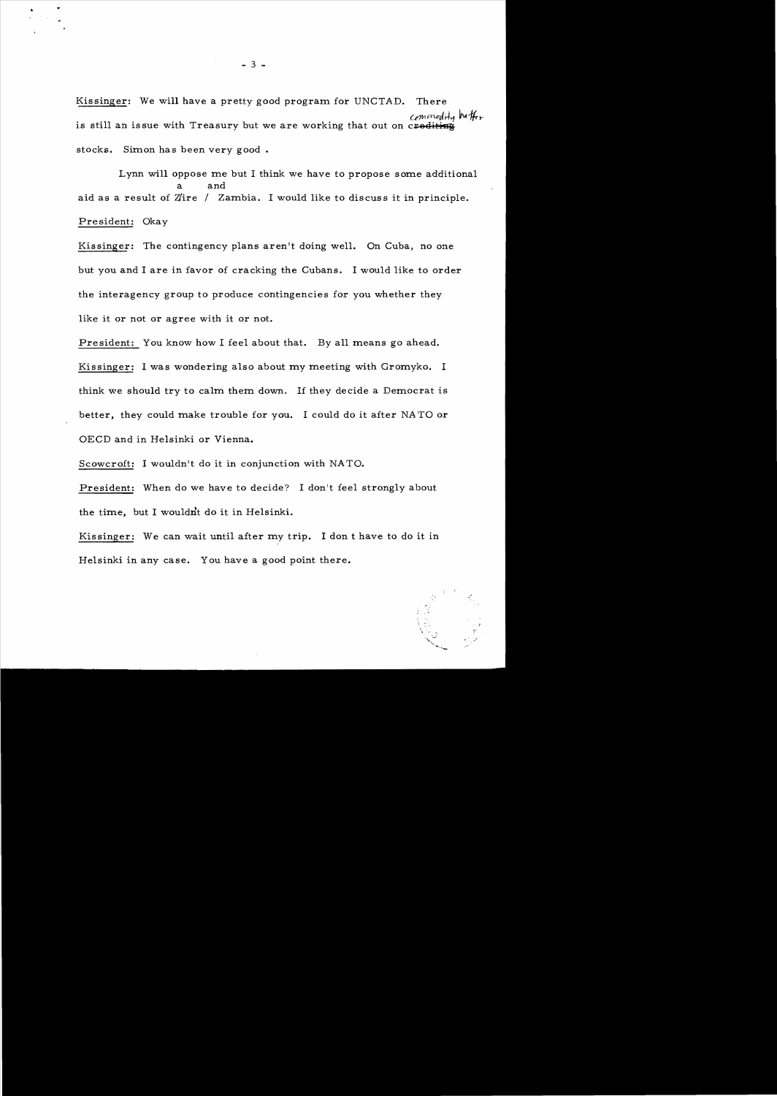Kissinger: We will have a pretty good program for UNCTAD. There Commodity buttois still an issue with Treasury but we are working that out on crediting stocks. Simon has been very good.

Lynn will oppose me but I think we have to propose some additional a and aid as a result of Z/ire / Zambia. I would like to discuss it in principle. President: Okay

Kissinger: The contingency plans aren't doing well. On Cuba, no one but you and I are in favor of cracking the Cubans. I would like to order the interagency group to produce contingencies for you whether they like it or not or agree with it or not.

President: You know how I feel about that. By all means go ahead.

Kissinger: I was wondering also about my meeting with Gromyko. I think we should try to calm them down. If they decide a Democrat is better, they could make trouble for you. I could do it after NA TO or OECD and in Helsinki or Vienna.

Scowcroft: I wouldn't do it in conjunction with NATO.

President: When do we have to decide? I don't feel strongly about the time, but I wouldnt do it in Helsinki.

Kissinger: We can wait until after my trip. I don t have to do it in Helsinki in any case. You have a good point there.

.'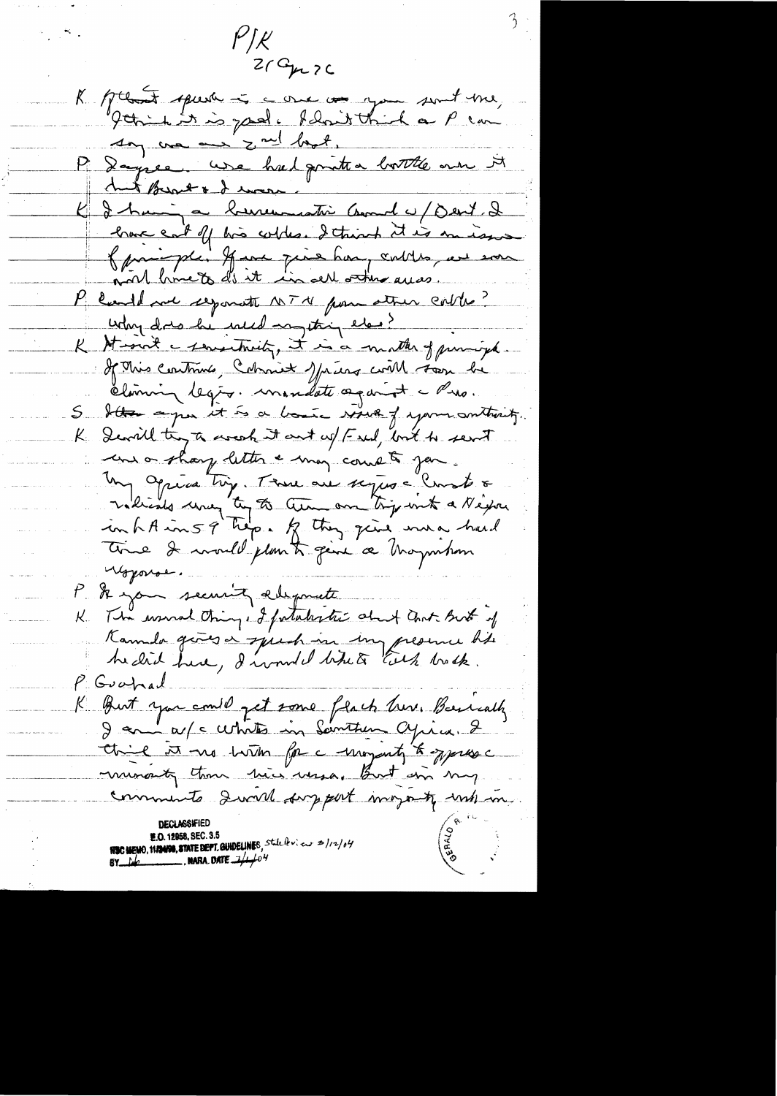$P/\mathcal{K}$  $Z/G_{\mu\nu}Z$ K plant spera à comme a you sont me, say we are zout boot, P. Dayres, use hiel printer bottle mer it hut Bread & I was K & hui a bureaustin Count es/Dent & P could not repondte NTM pour atten contro? why dres he well mything else? K Strant a sematenity, it is a matter of principa. If This continue, Colomiet Maiers coil soon be climin legio. mandate against a Pris. S Sta apr it is a bound view of your outbust. K. Devill try to ascock it out up (Fred, but to sent une or sharp letter a may comete jou. Un Opera try. Tome are septes = Const &<br>Indicate une try to tem an try wit a Nexan time I would plan to give a haymhan youse P. A you seeming allymete K. The worral things of fatalestic about ant But of Kannda gives a speech in my presence his hedid here, d'undel bitute tils brock. P Goohad K But you compt to the flack here. Besically think it we have for a monjouty to symbol munanty than his wasa, But in my comments devot support morning unhan **NSC MEMO, 11/24/90, STATE DEPT. GUIDELINES,** State levieux 2/12/04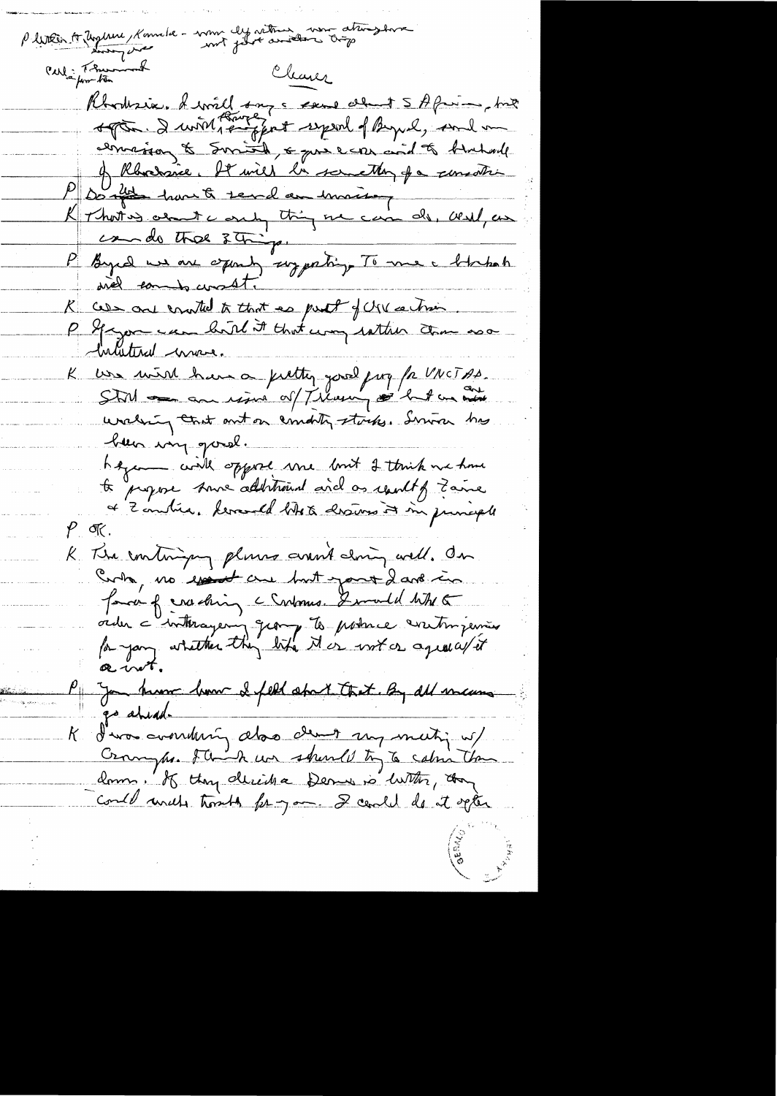me ly return were attragence Pletten to Urgere Kon Carl in Theman of Cleaner Rhodrix. A will say a seme about 5 A from hist<br>sopration. I with support sepend of Byul, such me of Rhodsie. It will be something for someothing Don't have to send an inviter Krhoting about a only thing one can do, west, an P Byrd we are 2 Things ...<br>P Byrd we are examing suggesting To me a blockah R CDS one control to that as put of USV action. inductional mass. K was mind have a fulting good pay for VNCTAS.<br>Still and an resident of Tilany of hat an out uncleain court out on comonly stocks. Service has been ing good. hazant civil oppose une bout 2 touch me home<br> to propose some additional and as result of Zame of Zondria. Levand ditre assume it in principle  $\rho$  or K The continging plums around doing well. On Curbo, no essent are but your 2 and in favor of enacting c Continue. I would with a vider a interageoing group to poince entimiement of you know how I feel about that By all many go ahead. K d'un avendering abor demet may matin us/ compre 8 think we should try to calin the donne, K ttoy décide Derne no With, don Could write troubly for you. I center do it opter